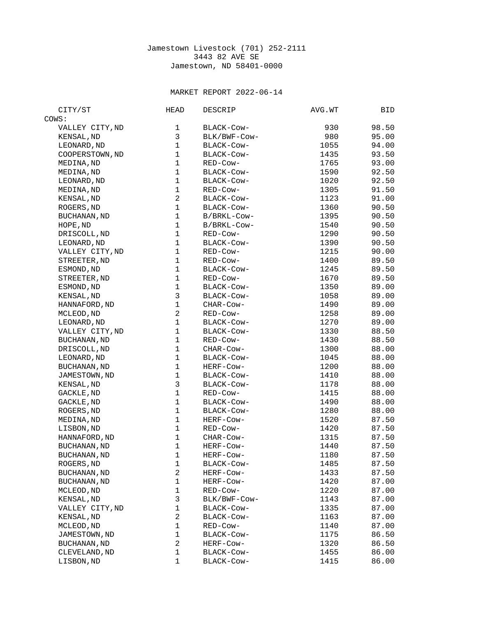## Jamestown Livestock (701) 252-2111 3443 82 AVE SE Jamestown, ND 58401-0000

## MARKET REPORT 2022-06-14

| CITY/ST             | HEAD           | DESCRIP      | AVG.WT | BID   |
|---------------------|----------------|--------------|--------|-------|
| COWS:               |                |              |        |       |
| VALLEY CITY, ND     | 1              | BLACK-Cow-   | 930    | 98.50 |
| KENSAL, ND          | 3              | BLK/BWF-COW- | 980    | 95.00 |
| LEONARD, ND         | $\mathbf 1$    | BLACK-Cow-   | 1055   | 94.00 |
| COOPERSTOWN, ND     | $\mathbf 1$    | BLACK-Cow-   | 1435   | 93.50 |
| MEDINA, ND          | $\mathbf{1}$   | RED-Cow-     | 1765   | 93.00 |
| MEDINA, ND          | $\mathbf 1$    | BLACK-COW-   | 1590   | 92.50 |
| LEONARD, ND         | $\mathbf{1}$   | BLACK-COW-   | 1020   | 92.50 |
| MEDINA, ND          | $\mathbf 1$    | RED-Cow-     | 1305   | 91.50 |
| KENSAL, ND          | $\overline{c}$ | BLACK-COW-   | 1123   | 91.00 |
| ROGERS, ND          | $\mathbf 1$    | BLACK-COW-   | 1360   | 90.50 |
| <b>BUCHANAN, ND</b> | $\mathbf{1}$   | B/BRKL-Cow-  | 1395   | 90.50 |
| HOPE, ND            | $\mathbf{1}$   | B/BRKL-Cow-  | 1540   | 90.50 |
| DRISCOLL, ND        | $\mathbf 1$    | RED-Cow-     | 1290   | 90.50 |
| LEONARD, ND         | $\mathbf{1}$   | BLACK-COW-   | 1390   | 90.50 |
| VALLEY CITY, ND     | $\mathbf 1$    | RED-Cow-     | 1215   | 90.00 |
| STREETER, ND        | $\mathbf{1}$   | RED-Cow-     | 1400   | 89.50 |
| ESMOND, ND          | $\mathbf 1$    | BLACK-COW-   | 1245   | 89.50 |
| STREETER, ND        | $\mathbf 1$    | RED-Cow-     | 1670   | 89.50 |
| ESMOND, ND          | 1              | BLACK-Cow-   | 1350   | 89.00 |
| KENSAL, ND          | 3              | BLACK-Cow-   | 1058   | 89.00 |
| HANNAFORD, ND       | $\mathbf 1$    | CHAR-COW-    | 1490   | 89.00 |
| MCLEOD, ND          | $\overline{c}$ | RED-Cow-     | 1258   | 89.00 |
| LEONARD, ND         | $\mathbf{1}$   | BLACK-Cow-   | 1270   | 89.00 |
| VALLEY CITY, ND     | $\mathbf 1$    | BLACK-Cow-   | 1330   | 88.50 |
| <b>BUCHANAN, ND</b> | $\mathbf{1}$   | RED-Cow-     | 1430   | 88.50 |
| DRISCOLL, ND        | $\mathbf 1$    | CHAR-COW-    | 1300   | 88.00 |
| LEONARD, ND         | $\mathbf{1}$   | BLACK-COW-   | 1045   | 88.00 |
| <b>BUCHANAN, ND</b> | 1              | HERF-COW-    | 1200   | 88.00 |
| JAMESTOWN, ND       | $\mathbf{1}$   | BLACK-COW-   | 1410   | 88.00 |
| KENSAL, ND          | 3              | BLACK-Cow-   | 1178   | 88.00 |
| GACKLE, ND          | $\mathbf 1$    | RED-Cow-     | 1415   | 88.00 |
| GACKLE, ND          | $\mathbf 1$    | BLACK-Cow-   | 1490   | 88.00 |
| ROGERS, ND          | $\mathbf 1$    | BLACK-Cow-   | 1280   | 88.00 |
| MEDINA, ND          | $\mathbf 1$    | HERF-Cow-    | 1520   | 87.50 |
| LISBON, ND          | $\mathbf 1$    | RED-Cow-     | 1420   | 87.50 |
| HANNAFORD, ND       | $\mathbf 1$    | CHAR-COW-    | 1315   | 87.50 |
| <b>BUCHANAN, ND</b> | $\mathbf{1}$   | HERF-Cow-    | 1440   | 87.50 |
| <b>BUCHANAN, ND</b> | 1              | HERF-Cow-    | 1180   | 87.50 |
| ROGERS, ND          | 1              | BLACK-Cow-   | 1485   | 87.50 |
| <b>BUCHANAN, ND</b> | $\overline{c}$ | HERF-Cow-    | 1433   | 87.50 |
| <b>BUCHANAN, ND</b> | $\mathbf 1$    | HERF-Cow-    | 1420   | 87.00 |
| MCLEOD, ND          | $\mathbf{1}$   | RED-Cow-     | 1220   | 87.00 |
| KENSAL, ND          | 3              | BLK/BWF-COW- | 1143   | 87.00 |
| VALLEY CITY, ND     | $\mathbf 1$    | BLACK-Cow-   | 1335   | 87.00 |
| KENSAL, ND          | $\overline{c}$ | BLACK-Cow-   | 1163   | 87.00 |
| MCLEOD, ND          | $\mathbf 1$    | RED-Cow-     | 1140   | 87.00 |
| JAMESTOWN, ND       | 1              | BLACK-Cow-   | 1175   | 86.50 |
| <b>BUCHANAN, ND</b> | $\overline{c}$ | HERF-Cow-    | 1320   | 86.50 |
| CLEVELAND, ND       | 1              | BLACK-Cow-   | 1455   | 86.00 |
| LISBON, ND          | $\mathbf 1$    | BLACK-Cow-   | 1415   | 86.00 |
|                     |                |              |        |       |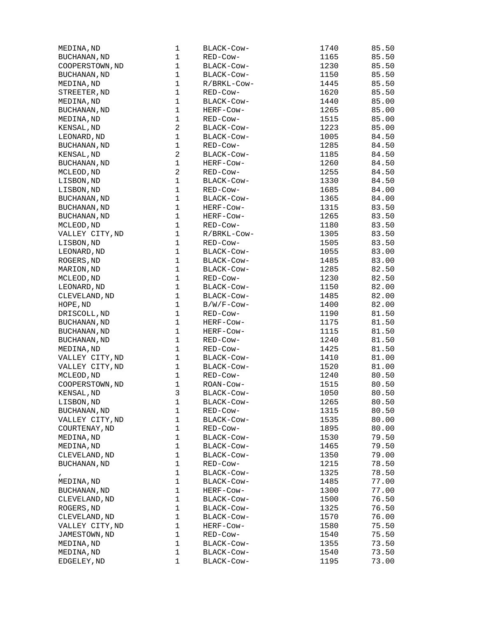| MEDINA, ND          | 1              | BLACK-Cow-  | 1740 | 85.50 |
|---------------------|----------------|-------------|------|-------|
| <b>BUCHANAN, ND</b> | $\mathbf 1$    | RED-Cow-    | 1165 | 85.50 |
| COOPERSTOWN, ND     | $\mathbf 1$    | BLACK-Cow-  | 1230 | 85.50 |
| <b>BUCHANAN, ND</b> | $\mathbf 1$    | BLACK-Cow-  | 1150 | 85.50 |
| MEDINA, ND          | $\mathbf 1$    | R/BRKL-Cow- | 1445 | 85.50 |
| STREETER, ND        | $\mathbf 1$    | RED-Cow-    | 1620 | 85.50 |
| MEDINA, ND          | $\mathbf{1}$   | BLACK-COW-  | 1440 | 85.00 |
| BUCHANAN, ND        | $\mathbf 1$    | HERF-Cow-   | 1265 | 85.00 |
| MEDINA, ND          | $\mathbf 1$    | RED-Cow-    | 1515 | 85.00 |
| KENSAL, ND          | $\overline{c}$ | BLACK-COW-  | 1223 | 85.00 |
| LEONARD, ND         | $\mathbf 1$    | BLACK-Cow-  | 1005 | 84.50 |
| BUCHANAN, ND        | 1              | RED-Cow-    | 1285 | 84.50 |
| KENSAL, ND          | $\overline{c}$ | BLACK-COW-  | 1185 | 84.50 |
| BUCHANAN, ND        | $\mathbf 1$    | HERF-Cow-   | 1260 | 84.50 |
| MCLEOD, ND          | $\overline{2}$ | RED-Cow-    | 1255 | 84.50 |
| LISBON, ND          | $\mathbf{1}$   | BLACK-COW-  | 1330 | 84.50 |
| LISBON, ND          | $\mathbf 1$    | RED-Cow-    | 1685 | 84.00 |
| BUCHANAN, ND        | 1              | BLACK-COW-  | 1365 | 84.00 |
| BUCHANAN, ND        | $\mathbf 1$    | HERF-COW-   | 1315 | 83.50 |
| <b>BUCHANAN, ND</b> | $\mathbf 1$    | HERF-Cow-   | 1265 | 83.50 |
| MCLEOD, ND          | $\mathbf 1$    | RED-COW-    | 1180 | 83.50 |
| VALLEY CITY, ND     | $\mathbf 1$    | R/BRKL-Cow- | 1305 | 83.50 |
| LISBON, ND          | $\mathbf 1$    | RED-Cow-    | 1505 | 83.50 |
| LEONARD, ND         | $\mathbf{1}$   | BLACK-Cow-  | 1055 | 83.00 |
| ROGERS, ND          | $\mathbf{1}$   | BLACK-COW-  | 1485 | 83.00 |
| MARION, ND          | 1              | BLACK-Cow-  | 1285 | 82.50 |
| MCLEOD, ND          | $\mathbf 1$    | RED-Cow-    | 1230 | 82.50 |
|                     | $\mathbf 1$    |             |      | 82.00 |
| LEONARD, ND         |                | BLACK-COW-  | 1150 |       |
| CLEVELAND, ND       | $\mathbf 1$    | BLACK-COW-  | 1485 | 82.00 |
| HOPE, ND            | $\mathbf 1$    | B/W/F-Cow-  | 1400 | 82.00 |
| DRISCOLL, ND        | 1              | RED-Cow-    | 1190 | 81.50 |
| BUCHANAN, ND        | $\mathbf 1$    | HERF-Cow-   | 1175 | 81.50 |
| BUCHANAN, ND        | $\mathbf 1$    | HERF-Cow-   | 1115 | 81.50 |
| BUCHANAN, ND        | $\mathbf{1}$   | RED-Cow-    | 1240 | 81.50 |
| MEDINA, ND          | $\mathbf 1$    | RED-Cow-    | 1425 | 81.50 |
| VALLEY CITY, ND     | $\mathbf 1$    | BLACK-Cow-  | 1410 | 81.00 |
| VALLEY CITY, ND     | $\mathbf 1$    | BLACK-COW-  | 1520 | 81.00 |
| MCLEOD, ND          | $\mathbf 1$    | RED-Cow-    | 1240 | 80.50 |
| COOPERSTOWN, ND     | $\mathbf 1$    | ROAN-COW-   | 1515 | 80.50 |
| KENSAL, ND          | 3              | BLACK-COW-  | 1050 | 80.50 |
| LISBON, ND          | 1              | BLACK-Cow-  | 1265 | 80.50 |
| BUCHANAN, ND        | $\mathbf 1$    | RED-Cow-    | 1315 | 80.50 |
| VALLEY CITY, ND     | $\mathbf 1$    | BLACK-Cow-  | 1535 | 80.00 |
| COURTENAY, ND       | $\mathbf 1$    | RED-Cow-    | 1895 | 80.00 |
| MEDINA, ND          | $\mathbf 1$    | BLACK-Cow-  | 1530 | 79.50 |
| MEDINA, ND          | $\mathbf 1$    | BLACK-Cow-  | 1465 | 79.50 |
| CLEVELAND, ND       | $\mathbf 1$    | BLACK-Cow-  | 1350 | 79.00 |
| BUCHANAN, ND        | $\mathbf 1$    | RED-Cow-    | 1215 | 78.50 |
| $\mathbf{r}$        | 1              | BLACK-Cow-  | 1325 | 78.50 |
| MEDINA, ND          | $\mathbf 1$    | BLACK-Cow-  | 1485 | 77.00 |
| BUCHANAN, ND        | $\mathbf 1$    | HERF-Cow-   | 1300 | 77.00 |
| CLEVELAND, ND       | $\mathbf 1$    | BLACK-COW-  | 1500 | 76.50 |
| ROGERS, ND          | 1              | BLACK-Cow-  | 1325 | 76.50 |
| CLEVELAND, ND       | 1              | BLACK-Cow-  | 1570 | 76.00 |
| VALLEY CITY, ND     | $\mathbf 1$    | HERF-Cow-   | 1580 | 75.50 |
| JAMESTOWN, ND       | $\mathbf 1$    | RED-COW-    | 1540 | 75.50 |
|                     | $\mathbf 1$    |             |      | 73.50 |
| MEDINA, ND          |                | BLACK-COW-  | 1355 |       |
| MEDINA, ND          | 1              | BLACK-COW-  | 1540 | 73.50 |
| EDGELEY, ND         | 1              | BLACK-COW-  | 1195 | 73.00 |